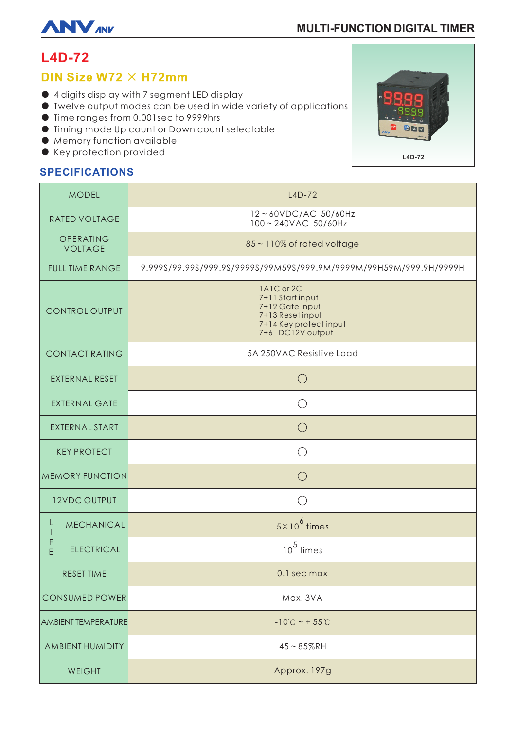

# **MULTI-FUNCTION DIGITAL TIMER**

# **L4D-72**

# DIN Size W72  $\times$  H72mm

- 4 digits display with 7 segment LED display
- Twelve output modes can be used in wide variety of applications
- Time ranges from 0.001sec to 9999hrs
- Timing mode Up count or Down count selectable
- Memory function available
- Key protection provided

### **SPECIFICATIONS**

Г

 $\mathsf{I}$ 

| <b>MODEL</b>                |                   | $L4D-72$                                                                                                            |
|-----------------------------|-------------------|---------------------------------------------------------------------------------------------------------------------|
| RATED VOLTAGE               |                   | 12~60VDC/AC 50/60Hz<br>100~240VAC 50/60Hz                                                                           |
| OPERATING<br><b>VOLTAGE</b> |                   | 85~110% of rated voltage                                                                                            |
| <b>FULL TIME RANGE</b>      |                   | 9.999S/99.99S/999.9S/9999S/99M59S/999.9M/9999M/99H59M/999.9H/9999H                                                  |
| <b>CONTROL OUTPUT</b>       |                   | 1A1C or 2C<br>7+11 Start input<br>7+12 Gate input<br>7+13 Reset input<br>7+14 Key protect input<br>7+6 DC12V output |
| <b>CONTACT RATING</b>       |                   | 5A 250VAC Resistive Load                                                                                            |
| EXTERNAL RESET              |                   | $\bigcirc$                                                                                                          |
| <b>EXTERNAL GATE</b>        |                   | $( \quad )$                                                                                                         |
| <b>EXTERNAL START</b>       |                   | ( )                                                                                                                 |
| <b>KEY PROTECT</b>          |                   | $\bigcirc$                                                                                                          |
| <b>MEMORY FUNCTION</b>      |                   | $\bigcap$                                                                                                           |
| <b>12VDC OUTPUT</b>         |                   |                                                                                                                     |
| L<br>F<br>E                 | <b>MECHANICAL</b> | $5 \times 10^6$ times                                                                                               |
|                             | <b>ELECTRICAL</b> | $10^5$ times                                                                                                        |
| <b>RESET TIME</b>           |                   | 0.1 sec max                                                                                                         |
| <b>CONSUMED POWER</b>       |                   | Max. 3VA                                                                                                            |
| <b>AMBIENT TEMPERATURE</b>  |                   | $-10^{\circ}C - +55^{\circ}C$                                                                                       |
| AMBIENT HUMIDITY            |                   | $45 - 85%$ RH                                                                                                       |
| WEIGHT                      |                   | Approx. 197g                                                                                                        |

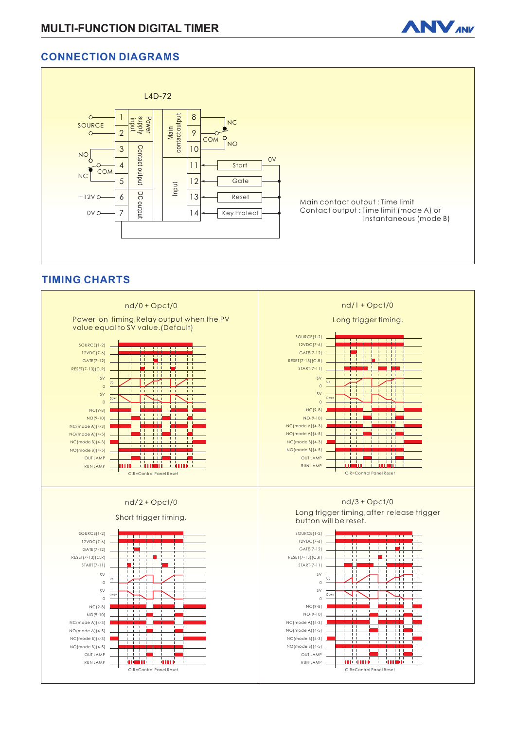

### **CONNECTION DIAGRAMS**



### **TIMING CHARTS**

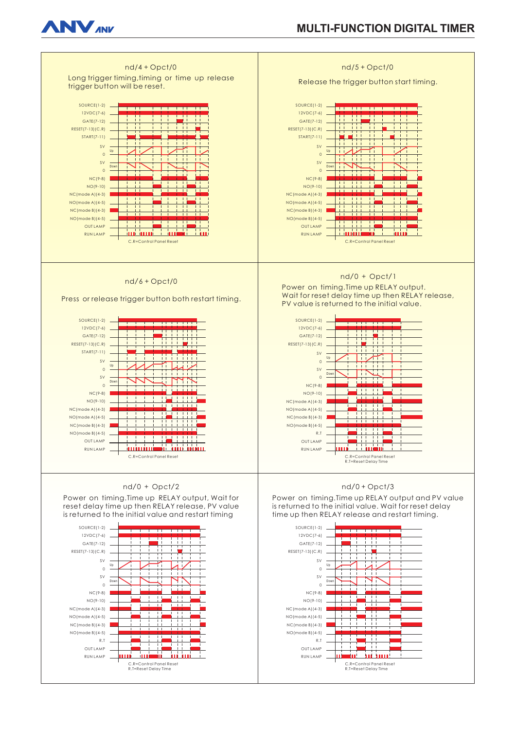

# **MULTI-FUNCTION DIGITAL TIMER**